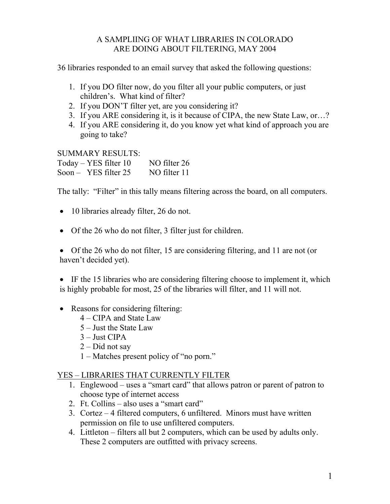## A SAMPLIING OF WHAT LIBRARIES IN COLORADO ARE DOING ABOUT FILTERING, MAY 2004

36 libraries responded to an email survey that asked the following questions:

- 1. If you DO filter now, do you filter all your public computers, or just children's. What kind of filter?
- 2. If you DON'T filter yet, are you considering it?
- 3. If you ARE considering it, is it because of CIPA, the new State Law, or...?
- 4. If you ARE considering it, do you know yet what kind of approach you are going to take?

SUMMARY RESULTS:

Today – YES filter 10 NO filter 26 Soon – YES filter 25 NO filter 11

The tally: "Filter" in this tally means filtering across the board, on all computers.

- 10 libraries already filter, 26 do not.
- Of the 26 who do not filter, 3 filter just for children.

• Of the 26 who do not filter, 15 are considering filtering, and 11 are not (or haven't decided yet).

• IF the 15 libraries who are considering filtering choose to implement it, which is highly probable for most, 25 of the libraries will filter, and 11 will not.

- Reasons for considering filtering:
	- $4 CIPA$  and State Law
	- $5 -$  Just the State Law
	- $3$  Just CIPA
	- $2 Did$  not say
	- $1 -$ Matches present policy of "no porn."

## YES - LIBRARIES THAT CURRENTLY FILTER

- 1. Englewood  $-$  uses a "smart card" that allows patron or parent of patron to choose type of internet access
- 2. Ft. Collins  $-$  also uses a "smart card"
- 3. Cortez  $-4$  filtered computers, 6 unfiltered. Minors must have written permission on file to use unfiltered computers.
- 4. Littleton filters all but 2 computers, which can be used by adults only. These 2 computers are outfitted with privacy screens.